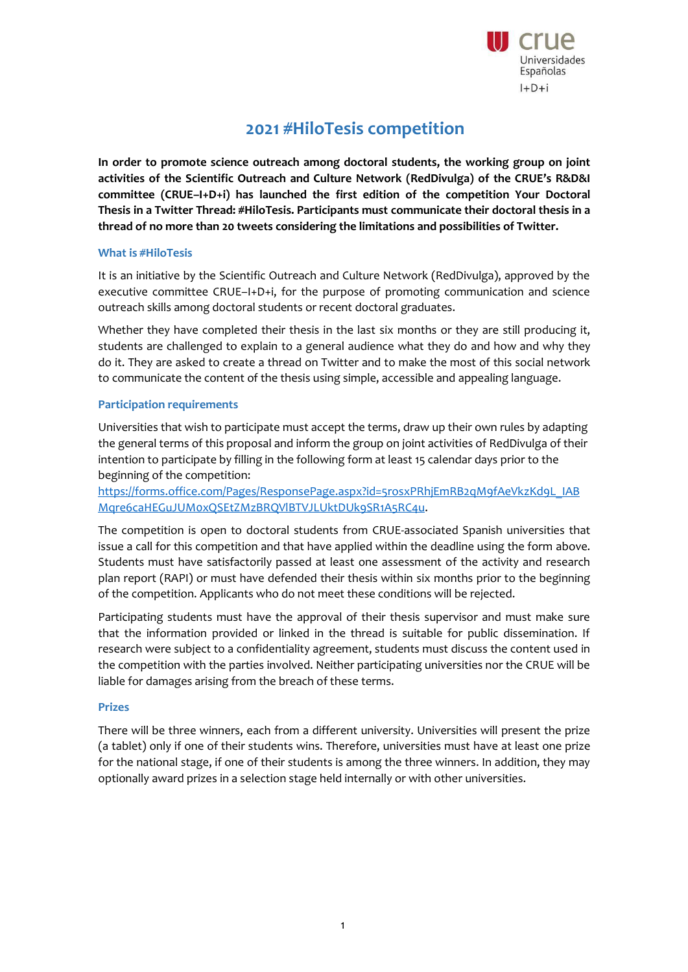

# **2021 #HiloTesis competition**

**In order to promote science outreach among doctoral students, the working group on joint activities of the Scientific Outreach and Culture Network (RedDivulga) of the CRUE's R&D&I committee (CRUE–I+D+i) has launched the first edition of the competition Your Doctoral Thesis in a Twitter Thread: #HiloTesis. Participants must communicate their doctoral thesis in a thread of no more than 20 tweets considering the limitations and possibilities of Twitter.**

#### **What is #HiloTesis**

It is an initiative by the Scientific Outreach and Culture Network (RedDivulga), approved by the executive committee CRUE–I+D+i, for the purpose of promoting communication and science outreach skills among doctoral students or recent doctoral graduates.

Whether they have completed their thesis in the last six months or they are still producing it, students are challenged to explain to a general audience what they do and how and why they do it. They are asked to create a thread on Twitter and to make the most of this social network to communicate the content of the thesis using simple, accessible and appealing language.

#### **Participation requirements**

Universities that wish to participate must accept the terms, draw up their own rules by adapting the general terms of this proposal and inform the group on joint activities of RedDivulga of their intention to participate by filling in the following form at least 15 calendar days prior to the beginning of the competition:

[https://forms.office.com/Pages/ResponsePage.aspx?id=5rosxPRhjEmRB2qM9fAeVkzKd9L\\_IAB](https://forms.office.com/Pages/ResponsePage.aspx?id=5rosxPRhjEmRB2qM9fAeVkzKd9L_IABMqre6caHEGuJUM0xQSEtZMzBRQVlBTVJLUktDUk9SR1A5RC4u) [Mqre6caHEGuJUM0xQSEtZMzBRQVlBTVJLUktDUk9SR1A5RC4u.](https://forms.office.com/Pages/ResponsePage.aspx?id=5rosxPRhjEmRB2qM9fAeVkzKd9L_IABMqre6caHEGuJUM0xQSEtZMzBRQVlBTVJLUktDUk9SR1A5RC4u)

The competition is open to doctoral students from CRUE-associated Spanish universities that issue a call for this competition and that have applied within the deadline using the form above. Students must have satisfactorily passed at least one assessment of the activity and research plan report (RAPI) or must have defended their thesis within six months prior to the beginning of the competition. Applicants who do not meet these conditions will be rejected.

Participating students must have the approval of their thesis supervisor and must make sure that the information provided or linked in the thread is suitable for public dissemination. If research were subject to a confidentiality agreement, students must discuss the content used in the competition with the parties involved. Neither participating universities nor the CRUE will be liable for damages arising from the breach of these terms.

#### **Prizes**

There will be three winners, each from a different university. Universities will present the prize (a tablet) only if one of their students wins. Therefore, universities must have at least one prize for the national stage, if one of their students is among the three winners. In addition, they may optionally award prizes in a selection stage held internally or with other universities.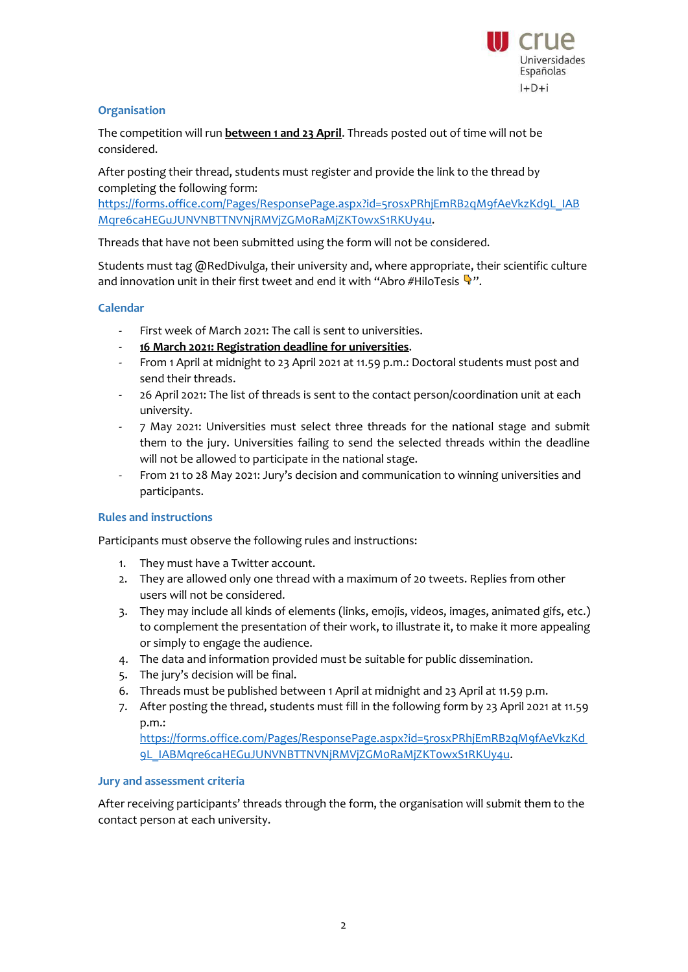

# **Organisation**

The competition will run **between 1 and 23 April**. Threads posted out of time will not be considered.

After posting their thread, students must register and provide the link to the thread by completing the following form:

[https://forms.office.com/Pages/ResponsePage.aspx?id=5rosxPRhjEmRB2qM9fAeVkzKd9L\\_IAB](https://forms.office.com/Pages/ResponsePage.aspx?id=5rosxPRhjEmRB2qM9fAeVkzKd9L_IABMqre6caHEGuJUNVNBTTNVNjRMVjZGM0RaMjZKT0wxS1RKUy4u) [Mqre6caHEGuJUNVNBTTNVNjRMVjZGM0RaMjZKT0wxS1RKUy4u.](https://forms.office.com/Pages/ResponsePage.aspx?id=5rosxPRhjEmRB2qM9fAeVkzKd9L_IABMqre6caHEGuJUNVNBTTNVNjRMVjZGM0RaMjZKT0wxS1RKUy4u)

Threads that have not been submitted using the form will not be considered.

Students must tag @RedDivulga, their university and, where appropriate, their scientific culture and innovation unit in their first tweet and end it with "Abro #HiloTesis  $\Psi$ ".

# **Calendar**

- First week of March 2021: The call is sent to universities.
- **16 March 2021: Registration deadline for universities**.
- From 1 April at midnight to 23 April 2021 at 11.59 p.m.: Doctoral students must post and send their threads.
- 26 April 2021: The list of threads is sent to the contact person/coordination unit at each university.
- 7 May 2021: Universities must select three threads for the national stage and submit them to the jury. Universities failing to send the selected threads within the deadline will not be allowed to participate in the national stage.
- From 21 to 28 May 2021: Jury's decision and communication to winning universities and participants.

## **Rules and instructions**

Participants must observe the following rules and instructions:

- 1. They must have a Twitter account.
- 2. They are allowed only one thread with a maximum of 20 tweets. Replies from other users will not be considered.
- 3. They may include all kinds of elements (links, emojis, videos, images, animated gifs, etc.) to complement the presentation of their work, to illustrate it, to make it more appealing or simply to engage the audience.
- 4. The data and information provided must be suitable for public dissemination.
- 5. The jury's decision will be final.
- 6. Threads must be published between 1 April at midnight and 23 April at 11.59 p.m.
- 7. After posting the thread, students must fill in the following form by 23 April 2021 at 11.59 p.m.:

[https://forms.office.com/Pages/ResponsePage.aspx?id=5rosxPRhjEmRB2qM9fAeVkzKd](https://forms.office.com/Pages/ResponsePage.aspx?id=5rosxPRhjEmRB2qM9fAeVkzKd9L_IABMqre6caHEGuJUNVNBTTNVNjRMVjZGM0RaMjZKT0wxS1RKUy4u) [9L\\_IABMqre6caHEGuJUNVNBTTNVNjRMVjZGM0RaMjZKT0wxS1RKUy4u.](https://forms.office.com/Pages/ResponsePage.aspx?id=5rosxPRhjEmRB2qM9fAeVkzKd9L_IABMqre6caHEGuJUNVNBTTNVNjRMVjZGM0RaMjZKT0wxS1RKUy4u)

## **Jury and assessment criteria**

After receiving participants' threads through the form, the organisation will submit them to the contact person at each university.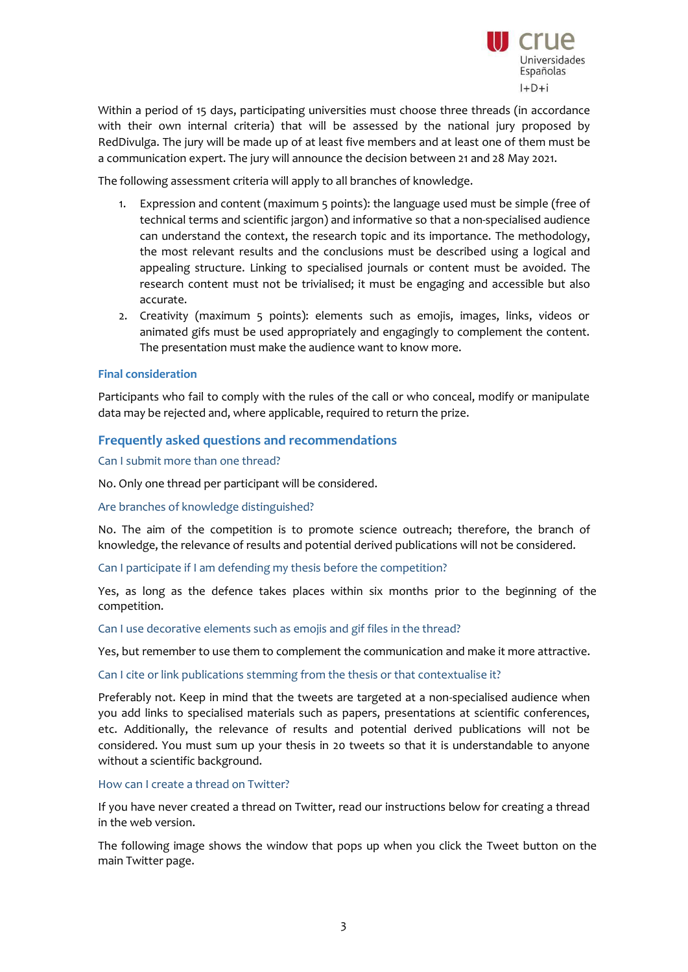

Within a period of 15 days, participating universities must choose three threads (in accordance with their own internal criteria) that will be assessed by the national jury proposed by RedDivulga. The jury will be made up of at least five members and at least one of them must be a communication expert. The jury will announce the decision between 21 and 28 May 2021.

The following assessment criteria will apply to all branches of knowledge.

- 1. Expression and content (maximum 5 points): the language used must be simple (free of technical terms and scientific jargon) and informative so that a non-specialised audience can understand the context, the research topic and its importance. The methodology, the most relevant results and the conclusions must be described using a logical and appealing structure. Linking to specialised journals or content must be avoided. The research content must not be trivialised; it must be engaging and accessible but also accurate.
- 2. Creativity (maximum 5 points): elements such as emojis, images, links, videos or animated gifs must be used appropriately and engagingly to complement the content. The presentation must make the audience want to know more.

## **Final consideration**

Participants who fail to comply with the rules of the call or who conceal, modify or manipulate data may be rejected and, where applicable, required to return the prize.

# **Frequently asked questions and recommendations**

Can I submit more than one thread?

No. Only one thread per participant will be considered.

Are branches of knowledge distinguished?

No. The aim of the competition is to promote science outreach; therefore, the branch of knowledge, the relevance of results and potential derived publications will not be considered.

Can I participate if I am defending my thesis before the competition?

Yes, as long as the defence takes places within six months prior to the beginning of the competition.

Can I use decorative elements such as emojis and gif files in the thread?

Yes, but remember to use them to complement the communication and make it more attractive.

Can I cite or link publications stemming from the thesis or that contextualise it?

Preferably not. Keep in mind that the tweets are targeted at a non-specialised audience when you add links to specialised materials such as papers, presentations at scientific conferences, etc. Additionally, the relevance of results and potential derived publications will not be considered. You must sum up your thesis in 20 tweets so that it is understandable to anyone without a scientific background.

How can I create a thread on Twitter?

If you have never created a thread on Twitter, read our instructions below for creating a thread in the web version.

The following image shows the window that pops up when you click the Tweet button on the main Twitter page.